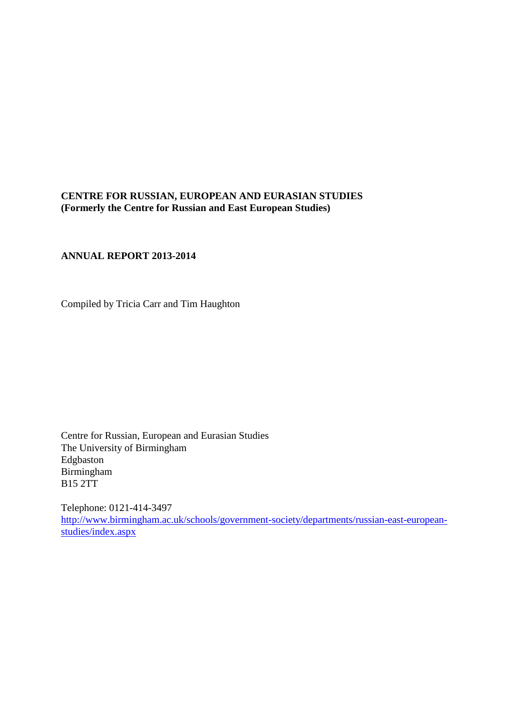# <span id="page-0-0"></span>**CENTRE FOR RUSSIAN, EUROPEAN AND EURASIAN STUDIES (Formerly the Centre for Russian and East European Studies)**

# **ANNUAL REPORT 2013-2014**

Compiled by Tricia Carr and Tim Haughton

Centre for Russian, European and Eurasian Studies The University of Birmingham Edgbaston Birmingham B15 2TT

Telephone: 0121-414-3497 [http://www.birmingham.ac.uk/schools/government-society/departments/russian-east-european](http://www.birmingham.ac.uk/schools/government-society/departments/russian-east-european-studies/index.aspx)[studies/index.aspx](http://www.birmingham.ac.uk/schools/government-society/departments/russian-east-european-studies/index.aspx)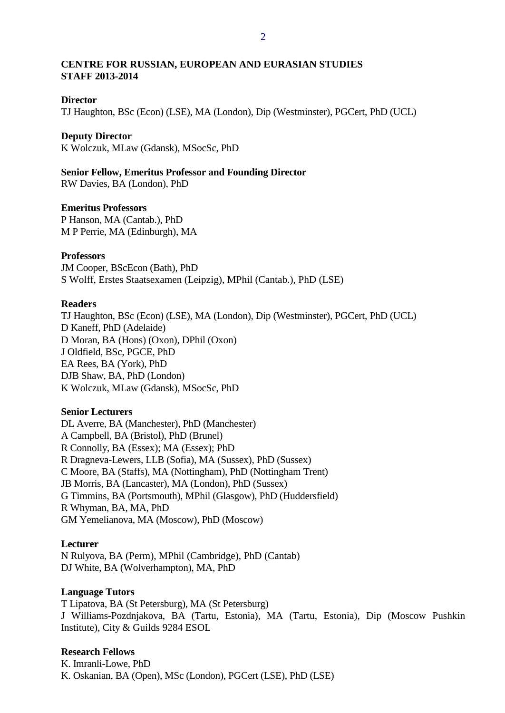# **CENTRE FOR RUSSIAN, EUROPEAN AND EURASIAN STUDIES STAFF 2013-2014**

#### **Director**

TJ Haughton, BSc (Econ) (LSE), MA (London), Dip (Westminster), PGCert, PhD (UCL)

#### **Deputy Director**

K Wolczuk, MLaw (Gdansk), MSocSc, PhD

**Senior Fellow, Emeritus Professor and Founding Director** RW Davies, BA (London), PhD

**Emeritus Professors**

P Hanson, MA (Cantab.), PhD M P Perrie, MA (Edinburgh), MA

#### **Professors**

JM Cooper, BScEcon (Bath), PhD S Wolff, Erstes Staatsexamen (Leipzig), MPhil (Cantab.), PhD (LSE)

#### **Readers**

TJ Haughton, BSc (Econ) (LSE), MA (London), Dip (Westminster), PGCert, PhD (UCL) D Kaneff, PhD (Adelaide) D Moran, BA (Hons) (Oxon), DPhil (Oxon) J Oldfield, BSc, PGCE, PhD EA Rees, BA (York), PhD DJB Shaw, BA, PhD (London) K Wolczuk, MLaw (Gdansk), MSocSc, PhD

# **Senior Lecturers**

DL Averre, BA (Manchester), PhD (Manchester) A Campbell, BA (Bristol), PhD (Brunel) R Connolly, BA (Essex); MA (Essex); PhD R Dragneva-Lewers, LLB (Sofia), MA (Sussex), PhD (Sussex) C Moore, BA (Staffs), MA (Nottingham), PhD (Nottingham Trent) JB Morris, BA (Lancaster), MA (London), PhD (Sussex) G Timmins, BA (Portsmouth), MPhil (Glasgow), PhD (Huddersfield) R Whyman, BA, MA, PhD GM Yemelianova, MA (Moscow), PhD (Moscow)

## **Lecturer**

N Rulyova, BA (Perm), MPhil (Cambridge), PhD (Cantab) DJ White, BA (Wolverhampton), MA, PhD

## **Language Tutors**

T Lipatova, BA (St Petersburg), MA (St Petersburg) J Williams-Pozdnjakova, BA (Tartu, Estonia), MA (Tartu, Estonia), Dip (Moscow Pushkin Institute), City & Guilds 9284 ESOL

## **Research Fellows**

K. Imranli-Lowe, PhD K. Oskanian, BA (Open), MSc (London), PGCert (LSE), PhD (LSE)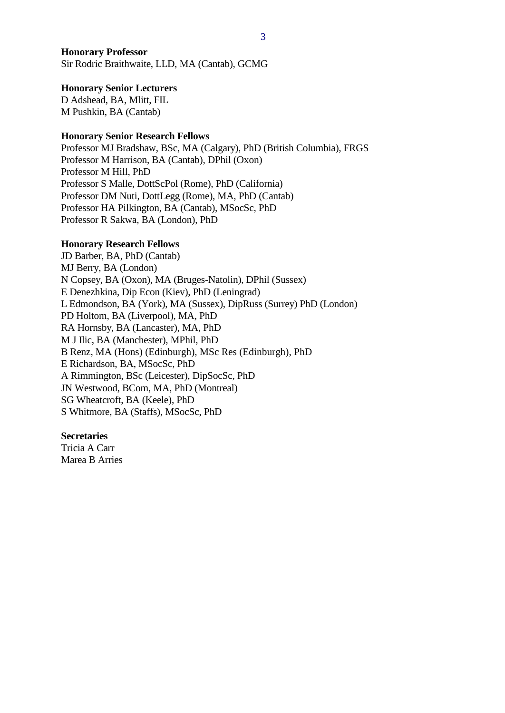### **Honorary Professor**

Sir Rodric Braithwaite, LLD, MA (Cantab), GCMG

#### **Honorary Senior Lecturers**

D Adshead, BA, Mlitt, FIL M Pushkin, BA (Cantab)

## **Honorary Senior Research Fellows**

Professor MJ Bradshaw, BSc, MA (Calgary), PhD (British Columbia), FRGS Professor M Harrison, BA (Cantab), DPhil (Oxon) Professor M Hill, PhD Professor S Malle, DottScPol (Rome), PhD (California) Professor DM Nuti, DottLegg (Rome), MA, PhD (Cantab) Professor HA Pilkington, BA (Cantab), MSocSc, PhD Professor R Sakwa, BA (London), PhD

#### **Honorary Research Fellows**

JD Barber, BA, PhD (Cantab) MJ Berry, BA (London) N Copsey, BA (Oxon), MA (Bruges-Natolin), DPhil (Sussex) E Denezhkina, Dip Econ (Kiev), PhD (Leningrad) L Edmondson, BA (York), MA (Sussex), DipRuss (Surrey) PhD (London) PD Holtom, BA (Liverpool), MA, PhD RA Hornsby, BA (Lancaster), MA, PhD M J Ilic, BA (Manchester), MPhil, PhD B Renz, MA (Hons) (Edinburgh), MSc Res (Edinburgh), PhD E Richardson, BA, MSocSc, PhD A Rimmington, BSc (Leicester), DipSocSc, PhD JN Westwood, BCom, MA, PhD (Montreal) SG Wheatcroft, BA (Keele), PhD S Whitmore, BA (Staffs), MSocSc, PhD

#### **Secretaries**

Tricia A Carr Marea B Arries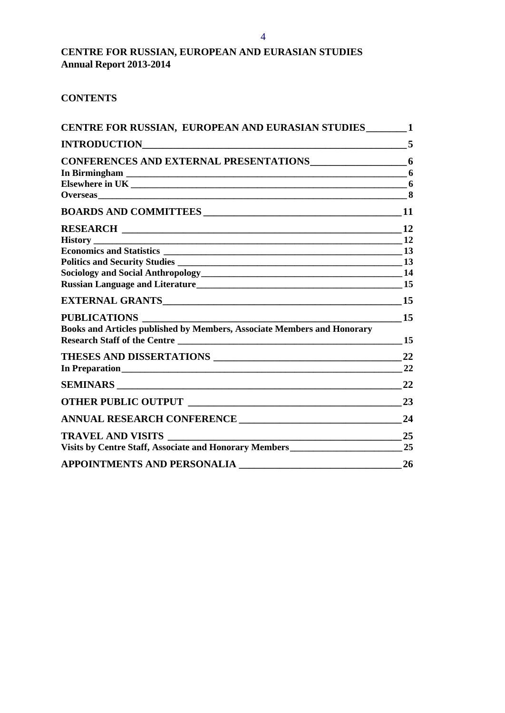# **CENTRE FOR RUSSIAN, EUROPEAN AND EURASIAN STUDIES Annual Report 2013-2014**

# **CONTENTS**

| CENTRE FOR RUSSIAN, EUROPEAN AND EURASIAN STUDIES_______1                             |                |
|---------------------------------------------------------------------------------------|----------------|
| $\sim$ 5                                                                              |                |
| CONFERENCES AND EXTERNAL PRESENTATIONS 6                                              |                |
|                                                                                       |                |
|                                                                                       |                |
|                                                                                       |                |
|                                                                                       |                |
|                                                                                       |                |
|                                                                                       |                |
|                                                                                       |                |
|                                                                                       |                |
| Sociology and Social Anthropology<br>14                                               |                |
|                                                                                       |                |
|                                                                                       |                |
| <b>PUBLICATIONS</b>                                                                   | 15             |
| Books and Articles published by Members, Associate Members and Honorary               |                |
| Research Staff of the Centre                                                          | 15             |
|                                                                                       | 22             |
| In Preparation                                                                        | $\frac{22}{2}$ |
|                                                                                       |                |
|                                                                                       | 23             |
| ANNUAL RESEARCH CONFERENCE                                                            | 24             |
| <u> 1989 - Johann Barnett, fransk politiker (d. 1989)</u><br><b>TRAVEL AND VISITS</b> | 25             |
|                                                                                       |                |
| <b>APPOINTMENTS AND PERSONALIA</b>                                                    | <b>26</b>      |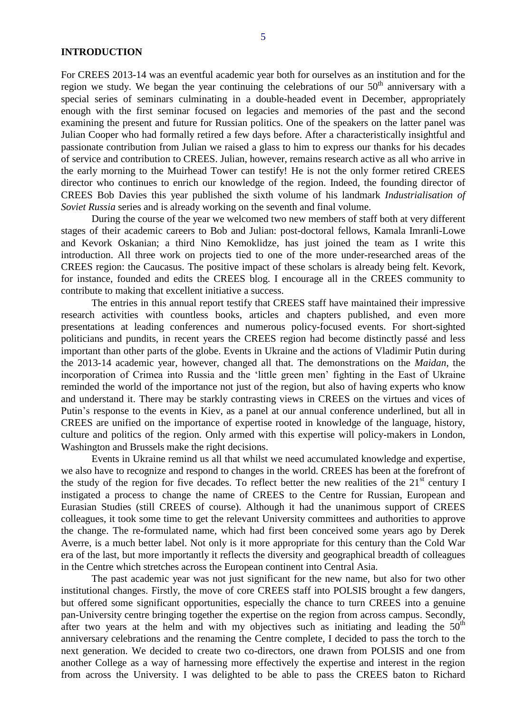<span id="page-4-0"></span>For CREES 2013-14 was an eventful academic year both for ourselves as an institution and for the region we study. We began the year continuing the celebrations of our  $50<sup>th</sup>$  anniversary with a special series of seminars culminating in a double-headed event in December, appropriately enough with the first seminar focused on legacies and memories of the past and the second examining the present and future for Russian politics. One of the speakers on the latter panel was Julian Cooper who had formally retired a few days before. After a characteristically insightful and passionate contribution from Julian we raised a glass to him to express our thanks for his decades of service and contribution to CREES. Julian, however, remains research active as all who arrive in the early morning to the Muirhead Tower can testify! He is not the only former retired CREES director who continues to enrich our knowledge of the region. Indeed, the founding director of CREES Bob Davies this year published the sixth volume of his landmark *Industrialisation of Soviet Russia* series and is already working on the seventh and final volume.

During the course of the year we welcomed two new members of staff both at very different stages of their academic careers to Bob and Julian: post-doctoral fellows, Kamala Imranli-Lowe and Kevork Oskanian; a third Nino Kemoklidze, has just joined the team as I write this introduction. All three work on projects tied to one of the more under-researched areas of the CREES region: the Caucasus. The positive impact of these scholars is already being felt. Kevork, for instance, founded and edits the CREES blog. I encourage all in the CREES community to contribute to making that excellent initiative a success.

The entries in this annual report testify that CREES staff have maintained their impressive research activities with countless books, articles and chapters published, and even more presentations at leading conferences and numerous policy-focused events. For short-sighted politicians and pundits, in recent years the CREES region had become distinctly passé and less important than other parts of the globe. Events in Ukraine and the actions of Vladimir Putin during the 2013-14 academic year, however, changed all that. The demonstrations on the *Maidan*, the incorporation of Crimea into Russia and the 'little green men' fighting in the East of Ukraine reminded the world of the importance not just of the region, but also of having experts who know and understand it. There may be starkly contrasting views in CREES on the virtues and vices of Putin's response to the events in Kiev, as a panel at our annual conference underlined, but all in CREES are unified on the importance of expertise rooted in knowledge of the language, history, culture and politics of the region. Only armed with this expertise will policy-makers in London, Washington and Brussels make the right decisions.

Events in Ukraine remind us all that whilst we need accumulated knowledge and expertise, we also have to recognize and respond to changes in the world. CREES has been at the forefront of the study of the region for five decades. To reflect better the new realities of the 21<sup>st</sup> century I instigated a process to change the name of CREES to the Centre for Russian, European and Eurasian Studies (still CREES of course). Although it had the unanimous support of CREES colleagues, it took some time to get the relevant University committees and authorities to approve the change. The re-formulated name, which had first been conceived some years ago by Derek Averre, is a much better label. Not only is it more appropriate for this century than the Cold War era of the last, but more importantly it reflects the diversity and geographical breadth of colleagues in the Centre which stretches across the European continent into Central Asia.

The past academic year was not just significant for the new name, but also for two other institutional changes. Firstly, the move of core CREES staff into POLSIS brought a few dangers, but offered some significant opportunities, especially the chance to turn CREES into a genuine pan-University centre bringing together the expertise on the region from across campus. Secondly, after two years at the helm and with my objectives such as initiating and leading the  $50<sup>th</sup>$ anniversary celebrations and the renaming the Centre complete, I decided to pass the torch to the next generation. We decided to create two co-directors, one drawn from POLSIS and one from another College as a way of harnessing more effectively the expertise and interest in the region from across the University. I was delighted to be able to pass the CREES baton to Richard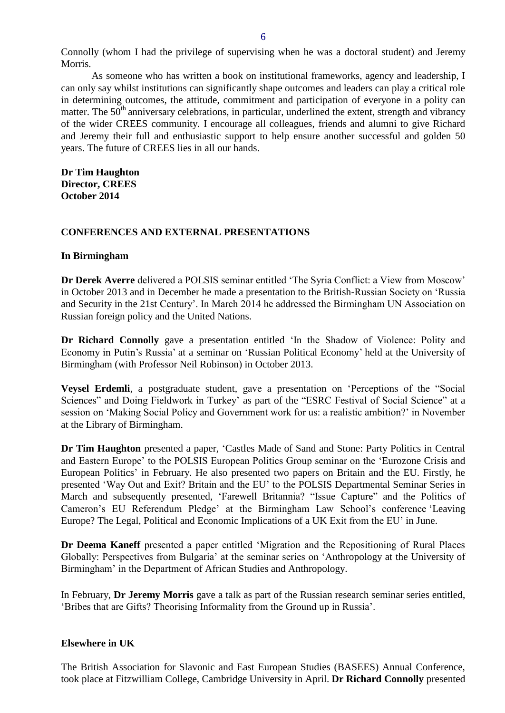Connolly (whom I had the privilege of supervising when he was a doctoral student) and Jeremy Morris.

As someone who has written a book on institutional frameworks, agency and leadership, I can only say whilst institutions can significantly shape outcomes and leaders can play a critical role in determining outcomes, the attitude, commitment and participation of everyone in a polity can matter. The  $50<sup>th</sup>$  anniversary celebrations, in particular, underlined the extent, strength and vibrancy of the wider CREES community. I encourage all colleagues, friends and alumni to give Richard and Jeremy their full and enthusiastic support to help ensure another successful and golden 50 years. The future of CREES lies in all our hands.

**Dr Tim Haughton Director, CREES October 2014** 

## <span id="page-5-0"></span>**CONFERENCES AND EXTERNAL PRESENTATIONS**

## <span id="page-5-1"></span>**In Birmingham**

**Dr Derek Averre** delivered a POLSIS seminar entitled 'The Syria Conflict: a View from Moscow' in October 2013 and in December he made a presentation to the British-Russian Society on 'Russia and Security in the 21st Century'. In March 2014 he addressed the Birmingham UN Association on Russian foreign policy and the United Nations.

**Dr Richard Connolly** gave a presentation entitled 'In the Shadow of Violence: Polity and Economy in Putin's Russia' at a seminar on 'Russian Political Economy' held at the University of Birmingham (with Professor Neil Robinson) in October 2013.

**Veysel Erdemli**, a postgraduate student, gave a presentation on 'Perceptions of the "Social Sciences" and Doing Fieldwork in Turkey' as part of the "ESRC Festival of Social Science" at a session on 'Making Social Policy and Government work for us: a realistic ambition?' in November at the Library of Birmingham.

**Dr Tim Haughton** presented a paper, 'Castles Made of Sand and Stone: Party Politics in Central and Eastern Europe' to the POLSIS European Politics Group seminar on the 'Eurozone Crisis and European Politics' in February. He also presented two papers on Britain and the EU. Firstly, he presented 'Way Out and Exit? Britain and the EU' to the POLSIS Departmental Seminar Series in March and subsequently presented, 'Farewell Britannia? "Issue Capture" and the Politics of Cameron's EU Referendum Pledge' at the Birmingham Law School's conference 'Leaving Europe? The Legal, Political and Economic Implications of a UK Exit from the EU' in June.

**Dr Deema Kaneff** presented a paper entitled 'Migration and the Repositioning of Rural Places Globally: Perspectives from Bulgaria' at the seminar series on 'Anthropology at the University of Birmingham' in the Department of African Studies and Anthropology.

In February, **Dr Jeremy Morris** gave a talk as part of the Russian research seminar series entitled, 'Bribes that are Gifts? Theorising Informality from the Ground up in Russia'.

## <span id="page-5-2"></span>**Elsewhere in UK**

The British Association for Slavonic and East European Studies (BASEES) Annual Conference, took place at Fitzwilliam College, Cambridge University in April. **Dr Richard Connolly** presented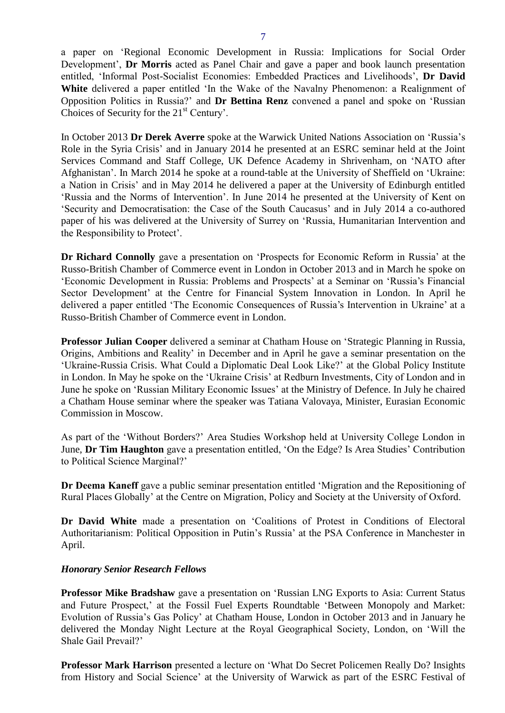a paper on 'Regional Economic Development in Russia: Implications for Social Order Development', **Dr Morris** acted as Panel Chair and gave a paper and book launch presentation entitled, 'Informal Post-Socialist Economies: Embedded Practices and Livelihoods', **Dr David White** delivered a paper entitled 'In the Wake of the Navalny Phenomenon: a Realignment of Opposition Politics in Russia?' and **Dr Bettina Renz** convened a panel and spoke on 'Russian Choices of Security for the 21<sup>st</sup> Century'.

In October 2013 **Dr Derek Averre** spoke at the Warwick United Nations Association on 'Russia's Role in the Syria Crisis' and in January 2014 he presented at an ESRC seminar held at the Joint Services Command and Staff College, UK Defence Academy in Shrivenham, on 'NATO after Afghanistan'. In March 2014 he spoke at a round-table at the University of Sheffield on 'Ukraine: a Nation in Crisis' and in May 2014 he delivered a paper at the University of Edinburgh entitled 'Russia and the Norms of Intervention'. In June 2014 he presented at the University of Kent on 'Security and Democratisation: the Case of the South Caucasus' and in July 2014 a co-authored paper of his was delivered at the University of Surrey on 'Russia, Humanitarian Intervention and the Responsibility to Protect'.

**Dr Richard Connolly** gave a presentation on 'Prospects for Economic Reform in Russia' at the Russo-British Chamber of Commerce event in London in October 2013 and in March he spoke on 'Economic Development in Russia: Problems and Prospects' at a Seminar on 'Russia's Financial Sector Development' at the Centre for Financial System Innovation in London. In April he delivered a paper entitled 'The Economic Consequences of Russia's Intervention in Ukraine' at a Russo-British Chamber of Commerce event in London.

**Professor Julian Cooper** delivered a seminar at Chatham House on 'Strategic Planning in Russia, Origins, Ambitions and Reality' in December and in April he gave a seminar presentation on the 'Ukraine-Russia Crisis. What Could a Diplomatic Deal Look Like?' at the Global Policy Institute in London. In May he spoke on the 'Ukraine Crisis' at Redburn Investments, City of London and in June he spoke on 'Russian Military Economic Issues' at the Ministry of Defence. In July he chaired a Chatham House seminar where the speaker was Tatiana Valovaya, Minister, Eurasian Economic Commission in Moscow.

As part of the 'Without Borders?' Area Studies Workshop held at University College London in June, **Dr Tim Haughton** gave a presentation entitled, 'On the Edge? Is Area Studies' Contribution to Political Science Marginal?'

**Dr Deema Kaneff** gave a public seminar presentation entitled 'Migration and the Repositioning of Rural Places Globally' at the Centre on Migration, Policy and Society at the University of Oxford.

**Dr David White** made a presentation on 'Coalitions of Protest in Conditions of Electoral Authoritarianism: Political Opposition in Putin's Russia' at the PSA Conference in Manchester in April.

## *Honorary Senior Research Fellows*

**Professor Mike Bradshaw** gave a presentation on 'Russian LNG Exports to Asia: Current Status and Future Prospect,' at the Fossil Fuel Experts Roundtable 'Between Monopoly and Market: Evolution of Russia's Gas Policy' at Chatham House, London in October 2013 and in January he delivered the Monday Night Lecture at the Royal Geographical Society, London, on 'Will the Shale Gail Prevail?'

**Professor Mark Harrison** presented a lecture on 'What Do Secret Policemen Really Do? Insights from History and Social Science' at the University of Warwick as part of the ESRC Festival of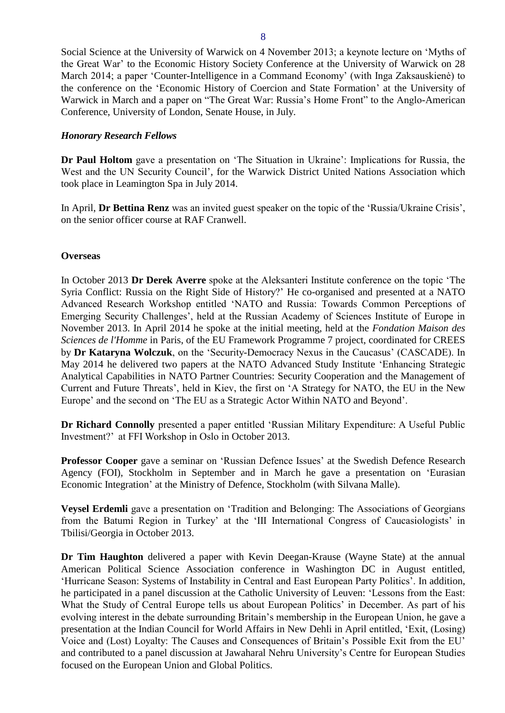Social Science at the University of Warwick on 4 November 2013; a keynote lecture on 'Myths of the Great War' to the Economic History Society Conference at the University of Warwick on 28 March 2014; a paper 'Counter-Intelligence in a Command Economy' (with Inga Zaksauskienė) to the conference on the 'Economic History of Coercion and State Formation' at the University of Warwick in March and a paper on "The Great War: Russia's Home Front" to the Anglo-American Conference, University of London, Senate House, in July.

## *Honorary Research Fellows*

**Dr Paul Holtom** gave a presentation on 'The Situation in Ukraine': Implications for Russia, the West and the UN Security Council', for the Warwick District United Nations Association which took place in Leamington Spa in July 2014.

In April, **Dr Bettina Renz** was an invited guest speaker on the topic of the 'Russia/Ukraine Crisis', on the senior officer course at RAF Cranwell.

## <span id="page-7-0"></span>**Overseas**

In October 2013 **Dr Derek Averre** spoke at the Aleksanteri Institute conference on the topic 'The Syria Conflict: Russia on the Right Side of History?' He co-organised and presented at a NATO Advanced Research Workshop entitled 'NATO and Russia: Towards Common Perceptions of Emerging Security Challenges', held at the Russian Academy of Sciences Institute of Europe in November 2013. In April 2014 he spoke at the initial meeting, held at the *Fondation Maison des Sciences de l'Homme* in Paris, of the EU Framework Programme 7 project, coordinated for CREES by **Dr Kataryna Wolczuk**, on the 'Security-Democracy Nexus in the Caucasus' (CASCADE). In May 2014 he delivered two papers at the NATO Advanced Study Institute 'Enhancing Strategic Analytical Capabilities in NATO Partner Countries: Security Cooperation and the Management of Current and Future Threats', held in Kiev, the first on 'A Strategy for NATO, the EU in the New Europe' and the second on 'The EU as a Strategic Actor Within NATO and Beyond'.

**Dr Richard Connolly** presented a paper entitled 'Russian Military Expenditure: A Useful Public Investment?' at FFI Workshop in Oslo in October 2013.

**Professor Cooper** gave a seminar on 'Russian Defence Issues' at the Swedish Defence Research Agency (FOI), Stockholm in September and in March he gave a presentation on 'Eurasian Economic Integration' at the Ministry of Defence, Stockholm (with Silvana Malle).

**Veysel Erdemli** gave a presentation on 'Tradition and Belonging: The Associations of Georgians from the Batumi Region in Turkey' at the 'III International Congress of Caucasiologists' in Tbilisi/Georgia in October 2013.

**Dr Tim Haughton** delivered a paper with Kevin Deegan-Krause (Wayne State) at the annual American Political Science Association conference in Washington DC in August entitled, 'Hurricane Season: Systems of Instability in Central and East European Party Politics'. In addition, he participated in a panel discussion at the Catholic University of Leuven: 'Lessons from the East: What the Study of Central Europe tells us about European Politics' in December. As part of his evolving interest in the debate surrounding Britain's membership in the European Union, he gave a presentation at the Indian Council for World Affairs in New Dehli in April entitled, 'Exit, (Losing) Voice and (Lost) Loyalty: The Causes and Consequences of Britain's Possible Exit from the EU' and contributed to a panel discussion at Jawaharal Nehru University's Centre for European Studies focused on the European Union and Global Politics.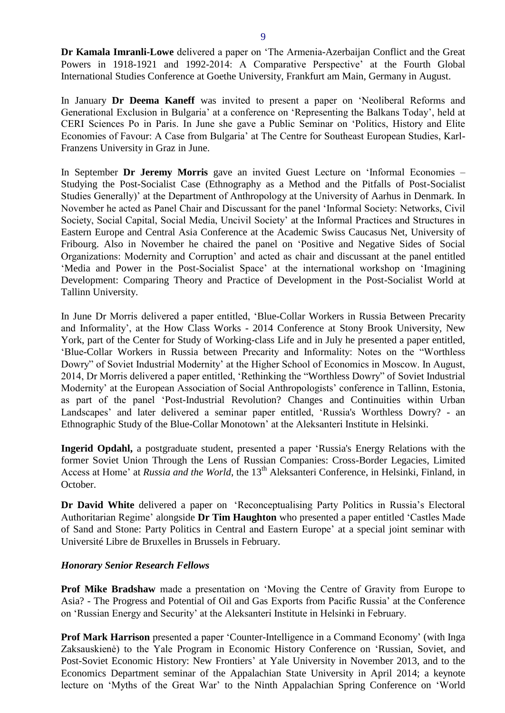**Dr Kamala Imranli-Lowe** delivered a paper on 'The Armenia-Azerbaijan Conflict and the Great Powers in 1918-1921 and 1992-2014: A Comparative Perspective' at the Fourth Global International Studies Conference at Goethe University, Frankfurt am Main, Germany in August.

In January **Dr Deema Kaneff** was invited to present a paper on 'Neoliberal Reforms and Generational Exclusion in Bulgaria' at a conference on 'Representing the Balkans Today', held at CERI Sciences Po in Paris. In June she gave a Public Seminar on 'Politics, History and Elite Economies of Favour: A Case from Bulgaria' at The Centre for Southeast European Studies, Karl-Franzens University in Graz in June.

In September **Dr Jeremy Morris** gave an invited Guest Lecture on 'Informal Economies – Studying the Post-Socialist Case (Ethnography as a Method and the Pitfalls of Post-Socialist Studies Generally)' at the Department of Anthropology at the University of Aarhus in Denmark. In November he acted as Panel Chair and Discussant for the panel 'Informal Society: Networks, Civil Society, Social Capital, Social Media, Uncivil Society' at the Informal Practices and Structures in Eastern Europe and Central Asia Conference at the Academic Swiss Caucasus Net, University of Fribourg. Also in November he chaired the panel on 'Positive and Negative Sides of Social Organizations: Modernity and Corruption' and acted as chair and discussant at the panel entitled 'Media and Power in the Post-Socialist Space' at the international workshop on 'Imagining Development: Comparing Theory and Practice of Development in the Post-Socialist World at Tallinn University.

In June Dr Morris delivered a paper entitled, 'Blue-Collar Workers in Russia Between Precarity and Informality', at the How Class Works - 2014 Conference at Stony Brook University, New York, part of the Center for Study of Working-class Life and in July he presented a paper entitled, 'Blue-Collar Workers in Russia between Precarity and Informality: Notes on the "Worthless Dowry" of Soviet Industrial Modernity' at the Higher School of Economics in Moscow. In August, 2014, Dr Morris delivered a paper entitled, 'Rethinking the "Worthless Dowry" of Soviet Industrial Modernity' at the European Association of Social Anthropologists' conference in Tallinn, Estonia, as part of the panel 'Post-Industrial Revolution? Changes and Continuities within Urban Landscapes' and later delivered a seminar paper entitled, 'Russia's Worthless Dowry? - an Ethnographic Study of the Blue-Collar Monotown' at the Aleksanteri Institute in Helsinki.

**Ingerid Opdahl,** a postgraduate student, presented a paper 'Russia's Energy Relations with the former Soviet Union Through the Lens of Russian Companies: Cross-Border Legacies, Limited Access at Home' at *Russia and the World*, the 13<sup>th</sup> Aleksanteri Conference, in Helsinki, Finland, in October.

**Dr David White** delivered a paper on 'Reconceptualising Party Politics in Russia's Electoral Authoritarian Regime' alongside **Dr Tim Haughton** who presented a paper entitled 'Castles Made of Sand and Stone: Party Politics in Central and Eastern Europe' at a special joint seminar with Université Libre de Bruxelles in Brussels in February.

## *Honorary Senior Research Fellows*

**Prof Mike Bradshaw** made a presentation on 'Moving the Centre of Gravity from Europe to Asia? - The Progress and Potential of Oil and Gas Exports from Pacific Russia' at the Conference on 'Russian Energy and Security' at the Aleksanteri Institute in Helsinki in February.

**Prof Mark Harrison** presented a paper 'Counter-Intelligence in a Command Economy' (with Inga Zaksauskienė) to the Yale Program in Economic History Conference on 'Russian, Soviet, and Post-Soviet Economic History: New Frontiers' at Yale University in November 2013, and to the Economics Department seminar of the Appalachian State University in April 2014; a keynote lecture on 'Myths of the Great War' to the Ninth Appalachian Spring Conference on 'World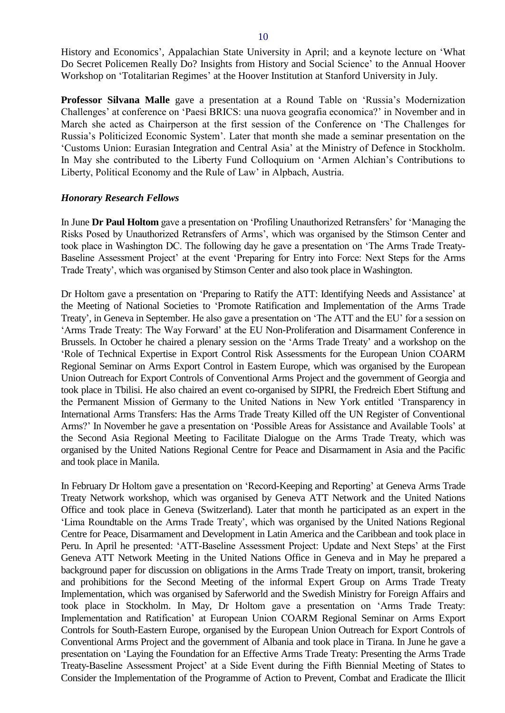History and Economics', Appalachian State University in April; and a keynote lecture on 'What Do Secret Policemen Really Do? Insights from History and Social Science' to the Annual Hoover Workshop on 'Totalitarian Regimes' at the Hoover Institution at Stanford University in July.

**Professor Silvana Malle** gave a presentation at a Round Table on 'Russia's Modernization Challenges' at conference on 'Paesi BRICS: una nuova geografia economica?' in November and in March she acted as Chairperson at the first session of the Conference on 'The Challenges for Russia's Politicized Economic System'. Later that month she made a seminar presentation on the 'Customs Union: Eurasian Integration and Central Asia' at the Ministry of Defence in Stockholm. In May she contributed to the Liberty Fund Colloquium on 'Armen Alchian's Contributions to Liberty, Political Economy and the Rule of Law' in Alpbach, Austria.

#### *Honorary Research Fellows*

In June **Dr Paul Holtom** gave a presentation on 'Profiling Unauthorized Retransfers' for 'Managing the Risks Posed by Unauthorized Retransfers of Arms', which was organised by the Stimson Center and took place in Washington DC. The following day he gave a presentation on 'The Arms Trade Treaty-Baseline Assessment Project' at the event 'Preparing for Entry into Force: Next Steps for the Arms Trade Treaty', which was organised by Stimson Center and also took place in Washington.

Dr Holtom gave a presentation on 'Preparing to Ratify the ATT: Identifying Needs and Assistance' at the Meeting of National Societies to 'Promote Ratification and Implementation of the Arms Trade Treaty', in Geneva in September. He also gave a presentation on 'The ATT and the EU' for a session on 'Arms Trade Treaty: The Way Forward' at the EU Non-Proliferation and Disarmament Conference in Brussels. In October he chaired a plenary session on the 'Arms Trade Treaty' and a workshop on the 'Role of Technical Expertise in Export Control Risk Assessments for the European Union COARM Regional Seminar on Arms Export Control in Eastern Europe, which was organised by the European Union Outreach for Export Controls of Conventional Arms Project and the government of Georgia and took place in Tbilisi. He also chaired an event co-organised by SIPRI, the Fredreich Ebert Stiftung and the Permanent Mission of Germany to the United Nations in New York entitled 'Transparency in International Arms Transfers: Has the Arms Trade Treaty Killed off the UN Register of Conventional Arms?' In November he gave a presentation on 'Possible Areas for Assistance and Available Tools' at the Second Asia Regional Meeting to Facilitate Dialogue on the Arms Trade Treaty, which was organised by the United Nations Regional Centre for Peace and Disarmament in Asia and the Pacific and took place in Manila.

In February Dr Holtom gave a presentation on 'Record-Keeping and Reporting' at Geneva Arms Trade Treaty Network workshop, which was organised by Geneva ATT Network and the United Nations Office and took place in Geneva (Switzerland). Later that month he participated as an expert in the 'Lima Roundtable on the Arms Trade Treaty', which was organised by the United Nations Regional Centre for Peace, Disarmament and Development in Latin America and the Caribbean and took place in Peru. In April he presented: 'ATT-Baseline Assessment Project: Update and Next Steps' at the First Geneva ATT Network Meeting in the United Nations Office in Geneva and in May he prepared a background paper for discussion on obligations in the Arms Trade Treaty on import, transit, brokering and prohibitions for the Second Meeting of the informal Expert Group on Arms Trade Treaty Implementation, which was organised by Saferworld and the Swedish Ministry for Foreign Affairs and took place in Stockholm. In May, Dr Holtom gave a presentation on 'Arms Trade Treaty: Implementation and Ratification' at European Union COARM Regional Seminar on Arms Export Controls for South-Eastern Europe, organised by the European Union Outreach for Export Controls of Conventional Arms Project and the government of Albania and took place in Tirana. In June he gave a presentation on 'Laying the Foundation for an Effective Arms Trade Treaty: Presenting the Arms Trade Treaty-Baseline Assessment Project' at a Side Event during the Fifth Biennial Meeting of States to Consider the Implementation of the Programme of Action to Prevent, Combat and Eradicate the Illicit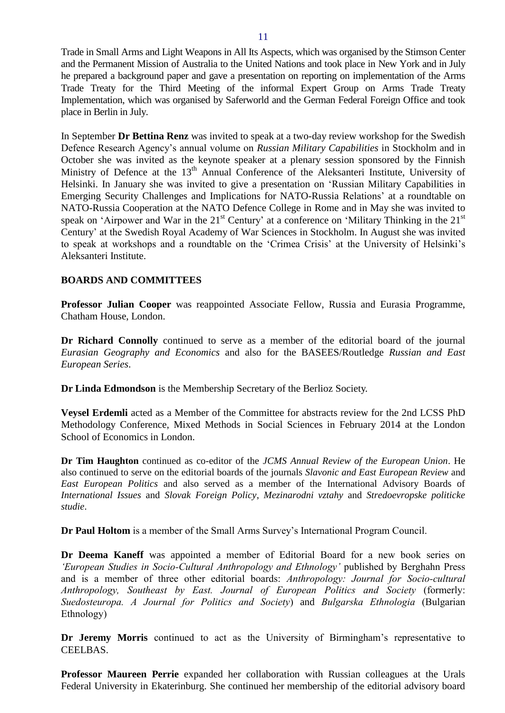Trade in Small Arms and Light Weapons in All Its Aspects, which was organised by the Stimson Center and the Permanent Mission of Australia to the United Nations and took place in New York and in July he prepared a background paper and gave a presentation on reporting on implementation of the Arms Trade Treaty for the Third Meeting of the informal Expert Group on Arms Trade Treaty Implementation, which was organised by Saferworld and the German Federal Foreign Office and took place in Berlin in July.

In September **Dr Bettina Renz** was invited to speak at a two-day review workshop for the Swedish Defence Research Agency's annual volume on *Russian Military Capabilities* in Stockholm and in October she was invited as the keynote speaker at a plenary session sponsored by the Finnish Ministry of Defence at the 13<sup>th</sup> Annual Conference of the Aleksanteri Institute, University of Helsinki. In January she was invited to give a presentation on 'Russian Military Capabilities in Emerging Security Challenges and Implications for NATO-Russia Relations' at a roundtable on NATO-Russia Cooperation at the NATO Defence College in Rome and in May she was invited to speak on 'Airpower and War in the  $21<sup>st</sup>$  Century' at a conference on 'Military Thinking in the  $21<sup>st</sup>$ Century' at the Swedish Royal Academy of War Sciences in Stockholm. In August she was invited to speak at workshops and a roundtable on the 'Crimea Crisis' at the University of Helsinki's Aleksanteri Institute.

## <span id="page-10-0"></span>**BOARDS AND COMMITTEES**

**Professor Julian Cooper** was reappointed Associate Fellow, Russia and Eurasia Programme, Chatham House, London.

**Dr Richard Connolly** continued to serve as a member of the editorial board of the journal *Eurasian Geography and Economics* and also for the BASEES/Routledge *Russian and East European Series*.

**Dr Linda Edmondson** is the Membership Secretary of the Berlioz Society.

**Veysel Erdemli** acted as a Member of the Committee for abstracts review for the 2nd LCSS PhD Methodology Conference, Mixed Methods in Social Sciences in February 2014 at the London School of Economics in London.

**Dr Tim Haughton** continued as co-editor of the *JCMS Annual Review of the European Union*. He also continued to serve on the editorial boards of the journals *Slavonic and East European Review* and *East European Politics* and also served as a member of the International Advisory Boards of *International Issues* and *Slovak Foreign Policy*, *Mezinarodni vztahy* and *Stredoevropske politicke studie*.

**Dr Paul Holtom** is a member of the Small Arms Survey's International Program Council.

**Dr Deema Kaneff** was appointed a member of Editorial Board for a new book series on *'European Studies in Socio-Cultural Anthropology and Ethnology'* published by Berghahn Press and is a member of three other editorial boards: *Anthropology: Journal for Socio-cultural Anthropology, Southeast by East. Journal of European Politics and Society* (formerly: *Suedosteuropa. A Journal for Politics and Society*) and *Bulgarska Ethnologia* (Bulgarian Ethnology)

**Dr Jeremy Morris** continued to act as the University of Birmingham's representative to CEELBAS.

**Professor Maureen Perrie** expanded her collaboration with Russian colleagues at the Urals Federal University in Ekaterinburg. She continued her membership of the editorial advisory board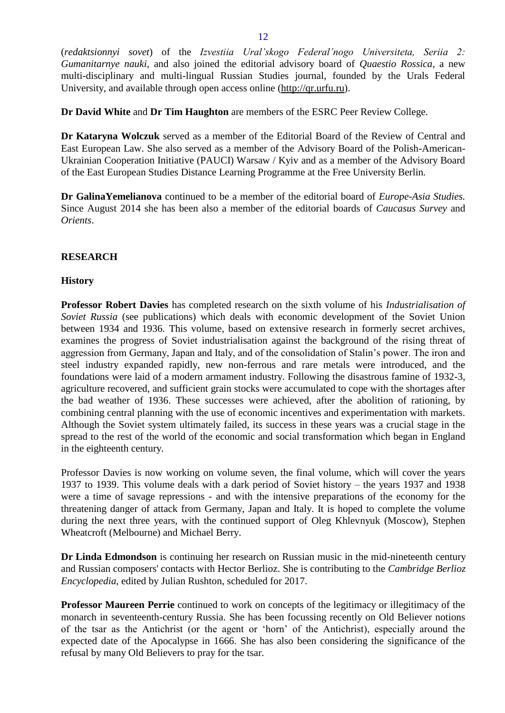(*redaktsionnyi sovet*) of the *Izvestiia Ural'skogo Federal'nogo Universiteta, Seriia 2: Gumanitarnye nauki*, and also joined the editorial advisory board of *Quaestio Rossica*, a new multi-disciplinary and multi-lingual Russian Studies journal, founded by the Urals Federal University, and available through open access online [\(http://qr.urfu.ru\)](http://qr.urfu.ru/).

**Dr David White** and **Dr Tim Haughton** are members of the ESRC Peer Review College.

**Dr Kataryna Wolczuk** served as a member of the Editorial Board of the Review of Central and East European Law. She also served as a member of the Advisory Board of the Polish-American-Ukrainian Cooperation Initiative (PAUCI) Warsaw / Kyiv and as a member of the Advisory Board of the East European Studies Distance Learning Programme at the Free University Berlin*.*

**Dr GalinaYemelianova** continued to be a member of the editorial board of *Europe-Asia Studies.*  Since August 2014 she has been also a member of the editorial boards of *Caucasus Survey* and *Orients*.

#### <span id="page-11-0"></span>**RESEARCH**

#### <span id="page-11-1"></span>**History**

**Professor Robert Davies** has completed research on the sixth volume of his *Industrialisation of Soviet Russia* (see publications) which deals with economic development of the Soviet Union between 1934 and 1936. This volume, based on extensive research in formerly secret archives, examines the progress of Soviet industrialisation against the background of the rising threat of aggression from Germany, Japan and Italy, and of the consolidation of Stalin's power. The iron and steel industry expanded rapidly, new non-ferrous and rare metals were introduced, and the foundations were laid of a modern armament industry. Following the disastrous famine of 1932-3, agriculture recovered, and sufficient grain stocks were accumulated to cope with the shortages after the bad weather of 1936. These successes were achieved, after the abolition of rationing, by combining central planning with the use of economic incentives and experimentation with markets. Although the Soviet system ultimately failed, its success in these years was a crucial stage in the spread to the rest of the world of the economic and social transformation which began in England in the eighteenth century.

Professor Davies is now working on volume seven, the final volume, which will cover the years 1937 to 1939. This volume deals with a dark period of Soviet history – the years 1937 and 1938 were a time of savage repressions - and with the intensive preparations of the economy for the threatening danger of attack from Germany, Japan and Italy. It is hoped to complete the volume during the next three years, with the continued support of Oleg Khlevnyuk (Moscow), Stephen Wheatcroft (Melbourne) and Michael Berry.

**Dr Linda Edmondson** is continuing her research on Russian music in the mid-nineteenth century and Russian composers' contacts with Hector Berlioz. She is contributing to the *Cambridge Berlioz Encyclopedia*, edited by Julian Rushton, scheduled for 2017.

**Professor Maureen Perrie** continued to work on concepts of the legitimacy or illegitimacy of the monarch in seventeenth-century Russia. She has been focussing recently on Old Believer notions of the tsar as the Antichrist (or the agent or 'horn' of the Antichrist), especially around the expected date of the Apocalypse in 1666. She has also been considering the significance of the refusal by many Old Believers to pray for the tsar.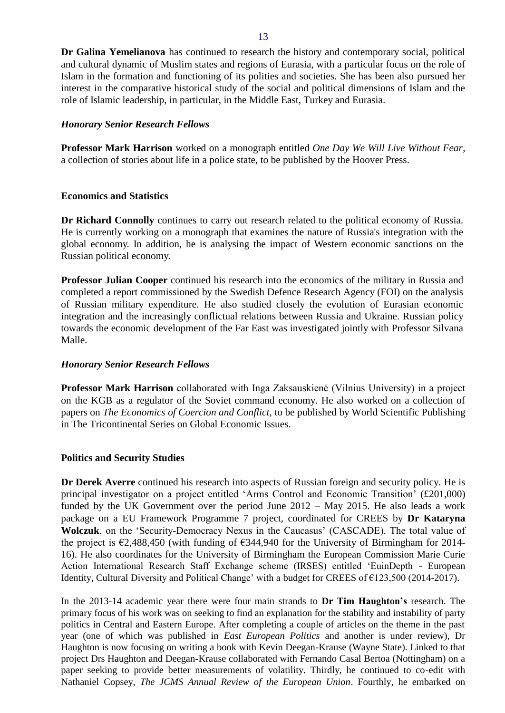**Dr Galina Yemelianova** has continued to research the history and contemporary social, political and cultural dynamic of Muslim states and regions of Eurasia, with a particular focus on the role of Islam in the formation and functioning of its polities and societies. She has been also pursued her interest in the comparative historical study of the social and political dimensions of Islam and the role of Islamic leadership, in particular, in the Middle East, Turkey and Eurasia.

#### *Honorary Senior Research Fellows*

**Professor Mark Harrison** worked on a monograph entitled *One Day We Will Live Without Fear*, a collection of stories about life in a police state, to be published by the Hoover Press.

#### <span id="page-12-0"></span>**Economics and Statistics**

**Dr Richard Connolly** continues to carry out research related to the political economy of Russia. He is currently working on a monograph that examines the nature of Russia's integration with the global economy. In addition, he is analysing the impact of Western economic sanctions on the Russian political economy.

**Professor Julian Cooper** continued his research into the economics of the military in Russia and completed a report commissioned by the Swedish Defence Research Agency (FOI) on the analysis of Russian military expenditure. He also studied closely the evolution of Eurasian economic integration and the increasingly conflictual relations between Russia and Ukraine. Russian policy towards the economic development of the Far East was investigated jointly with Professor Silvana Malle.

## *Honorary Senior Research Fellows*

**Professor Mark Harrison** collaborated with Inga Zaksauskienė (Vilnius University) in a project on the KGB as a regulator of the Soviet command economy. He also worked on a collection of papers on *The Economics of Coercion and Conflict,* to be published by World Scientific Publishing in The Tricontinental Series on Global Economic Issues.

#### <span id="page-12-1"></span>**Politics and Security Studies**

**Dr Derek Averre** continued his research into aspects of Russian foreign and security policy. He is principal investigator on a project entitled 'Arms Control and Economic Transition' (£201,000) funded by the UK Government over the period June 2012 – May 2015. He also leads a work package on a EU Framework Programme 7 project, coordinated for CREES by **Dr Kataryna Wolczuk**, on the 'Security-Democracy Nexus in the Caucasus' (CASCADE). The total value of the project is  $\epsilon$ 2,488,450 (with funding of  $\epsilon$ 344,940 for the University of Birmingham for 2014-16). He also coordinates for the University of Birmingham the European Commission Marie Curie Action International Research Staff Exchange scheme (IRSES) entitled 'EuinDepth - European Identity, Cultural Diversity and Political Change' with a budget for CREES of €123,500 (2014-2017).

In the 2013-14 academic year there were four main strands to **Dr Tim Haughton's** research. The primary focus of his work was on seeking to find an explanation for the stability and instability of party politics in Central and Eastern Europe. After completing a couple of articles on the theme in the past year (one of which was published in *East European Politics* and another is under review), Dr Haughton is now focusing on writing a book with Kevin Deegan-Krause (Wayne State). Linked to that project Drs Haughton and Deegan-Krause collaborated with Fernando Casal Bertoa (Nottingham) on a paper seeking to provide better measurements of volatility. Thirdly, he continued to co-edit with Nathaniel Copsey, *The JCMS Annual Review of the European Union*. Fourthly, he embarked on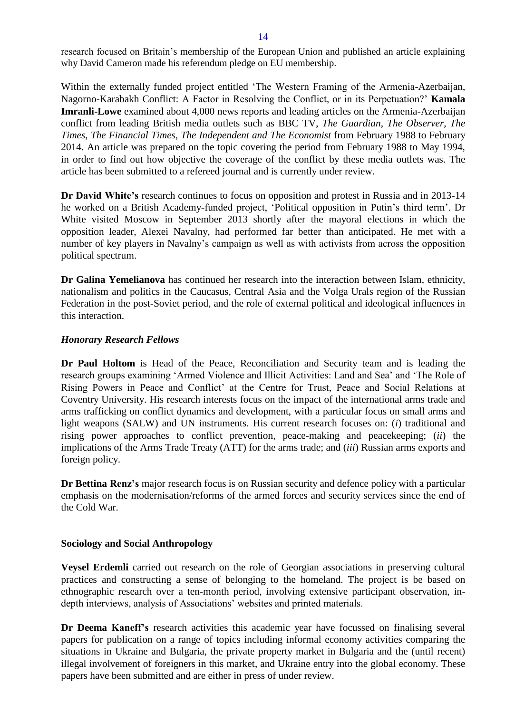research focused on Britain's membership of the European Union and published an article explaining why David Cameron made his referendum pledge on EU membership.

Within the externally funded project entitled 'The Western Framing of the Armenia-Azerbaijan, Nagorno-Karabakh Conflict: A Factor in Resolving the Conflict, or in its Perpetuation?' **Kamala Imranli-Lowe** examined about 4,000 news reports and leading articles on the Armenia-Azerbaijan conflict from leading British media outlets such as BBC TV, *The Guardian*, *The Observer, The Times*, *The Financial Times, The Independent and The Economist* from February 1988 to February 2014. An article was prepared on the topic covering the period from February 1988 to May 1994, in order to find out how objective the coverage of the conflict by these media outlets was. The article has been submitted to a refereed journal and is currently under review.

**Dr David White's** research continues to focus on opposition and protest in Russia and in 2013-14 he worked on a British Academy-funded project, 'Political opposition in Putin's third term'. Dr White visited Moscow in September 2013 shortly after the mayoral elections in which the opposition leader, Alexei Navalny, had performed far better than anticipated. He met with a number of key players in Navalny's campaign as well as with activists from across the opposition political spectrum.

**Dr Galina Yemelianova** has continued her research into the interaction between Islam, ethnicity, nationalism and politics in the Caucasus, Central Asia and the Volga Urals region of the Russian Federation in the post-Soviet period, and the role of external political and ideological influences in this interaction.

## *Honorary Research Fellows*

**Dr Paul Holtom** is Head of the Peace, Reconciliation and Security team and is leading the research groups examining 'Armed Violence and Illicit Activities: Land and Sea' and 'The Role of Rising Powers in Peace and Conflict' at the Centre for Trust, Peace and Social Relations at Coventry University. His research interests focus on the impact of the international arms trade and arms trafficking on conflict dynamics and development, with a particular focus on small arms and light weapons (SALW) and UN instruments. His current research focuses on: (*i*) traditional and rising power approaches to conflict prevention, peace-making and peacekeeping; (*ii*) the implications of the Arms Trade Treaty (ATT) for the arms trade; and (*iii*) Russian arms exports and foreign policy.

**Dr Bettina Renz's** major research focus is on Russian security and defence policy with a particular emphasis on the modernisation/reforms of the armed forces and security services since the end of the Cold War.

## <span id="page-13-0"></span>**Sociology and Social Anthropology**

**Veysel Erdemli** carried out research on the role of Georgian associations in preserving cultural practices and constructing a sense of belonging to the homeland. The project is be based on ethnographic research over a ten-month period, involving extensive participant observation, indepth interviews, analysis of Associations' websites and printed materials.

**Dr Deema Kaneff's** research activities this academic year have focussed on finalising several papers for publication on a range of topics including informal economy activities comparing the situations in Ukraine and Bulgaria, the private property market in Bulgaria and the (until recent) illegal involvement of foreigners in this market, and Ukraine entry into the global economy. These papers have been submitted and are either in press of under review.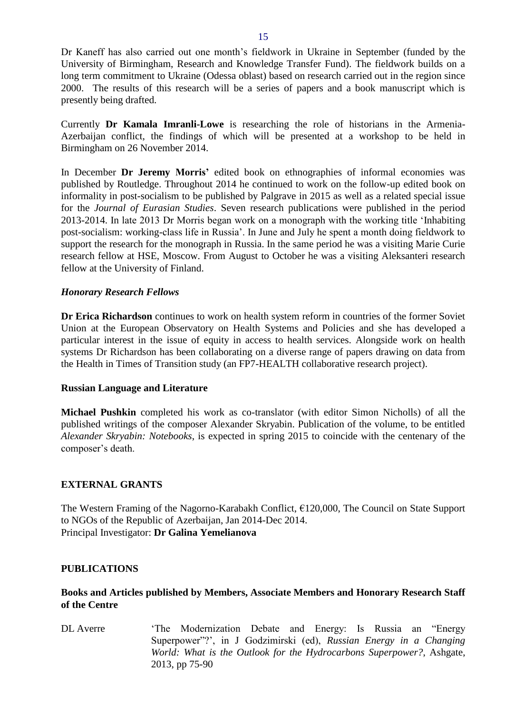Dr Kaneff has also carried out one month's fieldwork in Ukraine in September (funded by the University of Birmingham, Research and Knowledge Transfer Fund). The fieldwork builds on a long term commitment to Ukraine (Odessa oblast) based on research carried out in the region since 2000. The results of this research will be a series of papers and a book manuscript which is presently being drafted.

Currently **Dr Kamala Imranli-Lowe** is researching the role of historians in the Armenia-Azerbaijan conflict, the findings of which will be presented at a workshop to be held in Birmingham on 26 November 2014.

In December **Dr Jeremy Morris'** edited book on ethnographies of informal economies was published by Routledge. Throughout 2014 he continued to work on the follow-up edited book on informality in post-socialism to be published by Palgrave in 2015 as well as a related special issue for the *Journal of Eurasian Studies*. Seven research publications were published in the period 2013-2014. In late 2013 Dr Morris began work on a monograph with the working title 'Inhabiting post-socialism: working-class life in Russia'. In June and July he spent a month doing fieldwork to support the research for the monograph in Russia. In the same period he was a visiting Marie Curie research fellow at HSE, Moscow. From August to October he was a visiting Aleksanteri research fellow at the University of Finland.

## *Honorary Research Fellows*

**Dr Erica Richardson** continues to work on health system reform in countries of the former Soviet Union at the European Observatory on Health Systems and Policies and she has developed a particular interest in the issue of equity in access to health services. Alongside work on health systems Dr Richardson has been collaborating on a diverse range of papers drawing on data from the Health in Times of Transition study (an FP7-HEALTH collaborative research project).

## <span id="page-14-0"></span>**Russian Language and Literature**

**Michael Pushkin** completed his work as co-translator (with editor Simon Nicholls) of all the published writings of the composer Alexander Skryabin. Publication of the volume, to be entitled *Alexander Skryabin: Notebooks*, is expected in spring 2015 to coincide with the centenary of the composer's death.

## <span id="page-14-1"></span>**EXTERNAL GRANTS**

The Western Framing of the Nagorno-Karabakh Conflict, €120,000, The Council on State Support to NGOs of the Republic of Azerbaijan, Jan 2014-Dec 2014. Principal Investigator: **Dr Galina Yemelianova**

## <span id="page-14-2"></span>**PUBLICATIONS**

## <span id="page-14-3"></span>**Books and Articles published by Members, Associate Members and Honorary Research Staff of the Centre**

DL Averre 'The Modernization Debate and Energy: Is Russia an "Energy Superpower"?', in J Godzimirski (ed), *Russian Energy in a Changing World: What is the Outlook for the Hydrocarbons Superpower?*, Ashgate, 2013, pp 75-90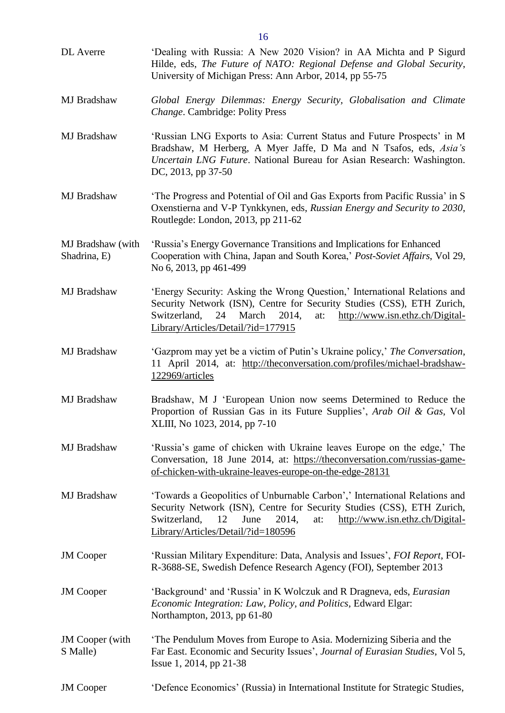|                                    | 16                                                                                                                                                                                                                                                                          |
|------------------------------------|-----------------------------------------------------------------------------------------------------------------------------------------------------------------------------------------------------------------------------------------------------------------------------|
| DL Averre                          | 'Dealing with Russia: A New 2020 Vision? in AA Michta and P Sigurd<br>Hilde, eds, The Future of NATO: Regional Defense and Global Security,<br>University of Michigan Press: Ann Arbor, 2014, pp 55-75                                                                      |
| MJ Bradshaw                        | Global Energy Dilemmas: Energy Security, Globalisation and Climate<br>Change. Cambridge: Polity Press                                                                                                                                                                       |
| MJ Bradshaw                        | 'Russian LNG Exports to Asia: Current Status and Future Prospects' in M<br>Bradshaw, M Herberg, A Myer Jaffe, D Ma and N Tsafos, eds, Asia's<br>Uncertain LNG Future. National Bureau for Asian Research: Washington.<br>DC, 2013, pp 37-50                                 |
| MJ Bradshaw                        | 'The Progress and Potential of Oil and Gas Exports from Pacific Russia' in S<br>Oxenstierna and V-P Tynkkynen, eds, Russian Energy and Security to 2030,<br>Routlegde: London, 2013, pp 211-62                                                                              |
| MJ Bradshaw (with<br>Shadrina, E)  | 'Russia's Energy Governance Transitions and Implications for Enhanced<br>Cooperation with China, Japan and South Korea,' Post-Soviet Affairs, Vol 29,<br>No 6, 2013, pp 461-499                                                                                             |
| MJ Bradshaw                        | 'Energy Security: Asking the Wrong Question,' International Relations and<br>Security Network (ISN), Centre for Security Studies (CSS), ETH Zurich,<br>Switzerland,<br>March<br>2014,<br>http://www.isn.ethz.ch/Digital-<br>24<br>at:<br>Library/Articles/Detail/?id=177915 |
| MJ Bradshaw                        | 'Gazprom may yet be a victim of Putin's Ukraine policy,' The Conversation,<br>11 April 2014, at: http://theconversation.com/profiles/michael-bradshaw-<br>122969/articles                                                                                                   |
| MJ Bradshaw                        | Bradshaw, M J 'European Union now seems Determined to Reduce the<br>Proportion of Russian Gas in its Future Supplies', Arab Oil & Gas, Vol<br>XLIII, No 1023, 2014, pp 7-10                                                                                                 |
| MJ Bradshaw                        | 'Russia's game of chicken with Ukraine leaves Europe on the edge,' The<br>Conversation, 18 June 2014, at: https://theconversation.com/russias-game-<br>of-chicken-with-ukraine-leaves-europe-on-the-edge-28131                                                              |
| MJ Bradshaw                        | 'Towards a Geopolitics of Unburnable Carbon',' International Relations and<br>Security Network (ISN), Centre for Security Studies (CSS), ETH Zurich,<br>2014,<br>Switzerland,<br>12<br>June<br>http://www.isn.ethz.ch/Digital-<br>at:<br>Library/Articles/Detail/?id=180596 |
| <b>JM</b> Cooper                   | 'Russian Military Expenditure: Data, Analysis and Issues', FOI Report, FOI-<br>R-3688-SE, Swedish Defence Research Agency (FOI), September 2013                                                                                                                             |
| <b>JM</b> Cooper                   | 'Background' and 'Russia' in K Wolczuk and R Dragneva, eds, <i>Eurasian</i><br>Economic Integration: Law, Policy, and Politics, Edward Elgar:<br>Northampton, 2013, pp 61-80                                                                                                |
| <b>JM</b> Cooper (with<br>S Malle) | The Pendulum Moves from Europe to Asia. Modernizing Siberia and the<br>Far East. Economic and Security Issues', Journal of Eurasian Studies, Vol 5,<br>Issue 1, 2014, pp 21-38                                                                                              |
| <b>JM</b> Cooper                   | 'Defence Economics' (Russia) in International Institute for Strategic Studies,                                                                                                                                                                                              |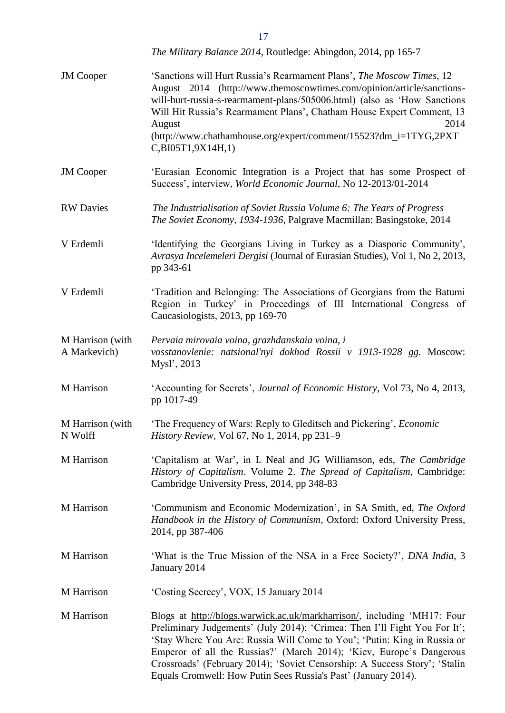|                                  | The Military Balance 2014, Routledge: Abingdon, 2014, pp 165-7                                                                                                                                                                                                                                                                                                                                                                                             |
|----------------------------------|------------------------------------------------------------------------------------------------------------------------------------------------------------------------------------------------------------------------------------------------------------------------------------------------------------------------------------------------------------------------------------------------------------------------------------------------------------|
| <b>JM</b> Cooper                 | 'Sanctions will Hurt Russia's Rearmament Plans', The Moscow Times, 12<br>August 2014 (http://www.themoscowtimes.com/opinion/article/sanctions-<br>will-hurt-russia-s-rearmament-plans/505006.html) (also as 'How Sanctions<br>Will Hit Russia's Rearmament Plans', Chatham House Expert Comment, 13<br>2014<br>August<br>(http://www.chathamhouse.org/expert/comment/15523?dm_i=1TYG,2PXT<br>C,BI05T1,9X14H,1)                                             |
| <b>JM</b> Cooper                 | 'Eurasian Economic Integration is a Project that has some Prospect of<br>Success', interview, World Economic Journal, No 12-2013/01-2014                                                                                                                                                                                                                                                                                                                   |
| <b>RW</b> Davies                 | The Industrialisation of Soviet Russia Volume 6: The Years of Progress<br>The Soviet Economy, 1934-1936, Palgrave Macmillan: Basingstoke, 2014                                                                                                                                                                                                                                                                                                             |
| V Erdemli                        | 'Identifying the Georgians Living in Turkey as a Diasporic Community',<br>Avrasya Incelemeleri Dergisi (Journal of Eurasian Studies), Vol 1, No 2, 2013,<br>pp 343-61                                                                                                                                                                                                                                                                                      |
| V Erdemli                        | 'Tradition and Belonging: The Associations of Georgians from the Batumi<br>Region in Turkey' in Proceedings of III International Congress of<br>Caucasiologists, 2013, pp 169-70                                                                                                                                                                                                                                                                           |
| M Harrison (with<br>A Markevich) | Pervaia mirovaia voina, grazhdanskaia voina, i<br>vosstanovlenie: natsional'nyi dokhod Rossii v 1913-1928 gg. Moscow:<br>Mysl', 2013                                                                                                                                                                                                                                                                                                                       |
| M Harrison                       | 'Accounting for Secrets', <i>Journal of Economic History</i> , Vol 73, No 4, 2013,<br>pp 1017-49                                                                                                                                                                                                                                                                                                                                                           |
| M Harrison (with<br>N Wolff      | 'The Frequency of Wars: Reply to Gleditsch and Pickering', Economic<br>History Review, Vol 67, No 1, 2014, pp 231-9                                                                                                                                                                                                                                                                                                                                        |
| M Harrison                       | 'Capitalism at War', in L Neal and JG Williamson, eds, The Cambridge<br>History of Capitalism. Volume 2. The Spread of Capitalism, Cambridge:<br>Cambridge University Press, 2014, pp 348-83                                                                                                                                                                                                                                                               |
| M Harrison                       | 'Communism and Economic Modernization', in SA Smith, ed, The Oxford<br>Handbook in the History of Communism, Oxford: Oxford University Press,<br>2014, pp 387-406                                                                                                                                                                                                                                                                                          |
| M Harrison                       | 'What is the True Mission of the NSA in a Free Society?', <i>DNA India</i> , 3<br>January 2014                                                                                                                                                                                                                                                                                                                                                             |
| M Harrison                       | 'Costing Secrecy', VOX, 15 January 2014                                                                                                                                                                                                                                                                                                                                                                                                                    |
| M Harrison                       | Blogs at http://blogs.warwick.ac.uk/markharrison/, including 'MH17: Four<br>Preliminary Judgements' (July 2014); 'Crimea: Then I'll Fight You For It';<br>'Stay Where You Are: Russia Will Come to You'; 'Putin: King in Russia or<br>Emperor of all the Russias?' (March 2014); 'Kiev, Europe's Dangerous<br>Crossroads' (February 2014); 'Soviet Censorship: A Success Story'; 'Stalin<br>Equals Cromwell: How Putin Sees Russia's Past' (January 2014). |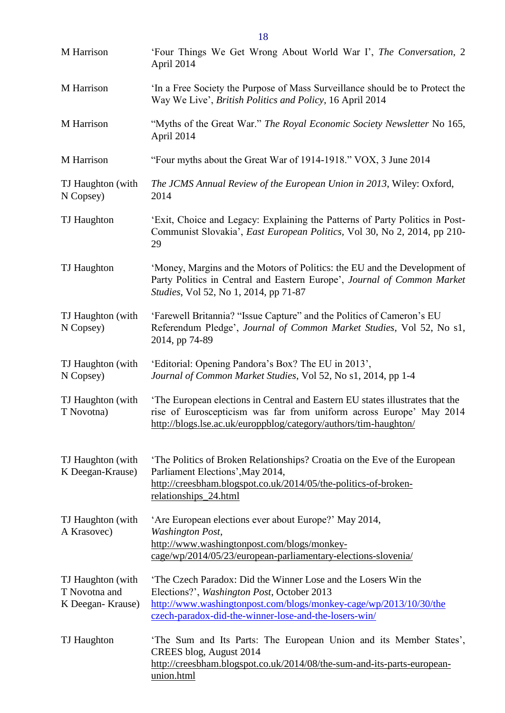| M Harrison                                             | 'Four Things We Get Wrong About World War I', The Conversation, 2<br>April 2014                                                                                                                                                           |
|--------------------------------------------------------|-------------------------------------------------------------------------------------------------------------------------------------------------------------------------------------------------------------------------------------------|
| M Harrison                                             | In a Free Society the Purpose of Mass Surveillance should be to Protect the<br>Way We Live', British Politics and Policy, 16 April 2014                                                                                                   |
| M Harrison                                             | "Myths of the Great War." The Royal Economic Society Newsletter No 165,<br>April 2014                                                                                                                                                     |
| M Harrison                                             | "Four myths about the Great War of 1914-1918." VOX, 3 June 2014                                                                                                                                                                           |
| TJ Haughton (with<br>N Copsey)                         | The JCMS Annual Review of the European Union in 2013, Wiley: Oxford,<br>2014                                                                                                                                                              |
| TJ Haughton                                            | 'Exit, Choice and Legacy: Explaining the Patterns of Party Politics in Post-<br>Communist Slovakia', <i>East European Politics</i> , Vol 30, No 2, 2014, pp 210-<br>29                                                                    |
| TJ Haughton                                            | 'Money, Margins and the Motors of Politics: the EU and the Development of<br>Party Politics in Central and Eastern Europe', Journal of Common Market<br><i>Studies</i> , Vol 52, No 1, 2014, pp 71-87                                     |
| TJ Haughton (with<br>N Copsey)                         | 'Farewell Britannia? "Issue Capture" and the Politics of Cameron's EU<br>Referendum Pledge', Journal of Common Market Studies, Vol 52, No s1,<br>2014, pp 74-89                                                                           |
| TJ Haughton (with<br>N Copsey)                         | 'Editorial: Opening Pandora's Box? The EU in 2013',<br>Journal of Common Market Studies, Vol 52, No s1, 2014, pp 1-4                                                                                                                      |
| TJ Haughton (with<br>T Novotna)                        | The European elections in Central and Eastern EU states illustrates that the<br>rise of Euroscepticism was far from uniform across Europe' May 2014<br>http://blogs.lse.ac.uk/europpblog/category/authors/tim-haughton/                   |
| TJ Haughton (with<br>K Deegan-Krause)                  | The Politics of Broken Relationships? Croatia on the Eve of the European<br>Parliament Elections', May 2014,<br>http://creesbham.blogspot.co.uk/2014/05/the-politics-of-broken-<br>relationships_24.html                                  |
| TJ Haughton (with<br>A Krasovec)                       | 'Are European elections ever about Europe?' May 2014,<br><b>Washington Post,</b><br>http://www.washingtonpost.com/blogs/monkey-<br>cage/wp/2014/05/23/european-parliamentary-elections-slovenia/                                          |
| TJ Haughton (with<br>T Novotna and<br>K Deegan-Krause) | The Czech Paradox: Did the Winner Lose and the Losers Win the<br>Elections?', Washington Post, October 2013<br>http://www.washingtonpost.com/blogs/monkey-cage/wp/2013/10/30/the<br>czech-paradox-did-the-winner-lose-and-the-losers-win/ |
| TJ Haughton                                            | The Sum and Its Parts: The European Union and its Member States',<br>CREES blog, August 2014<br>http://creesbham.blogspot.co.uk/2014/08/the-sum-and-its-parts-european-<br>union.html                                                     |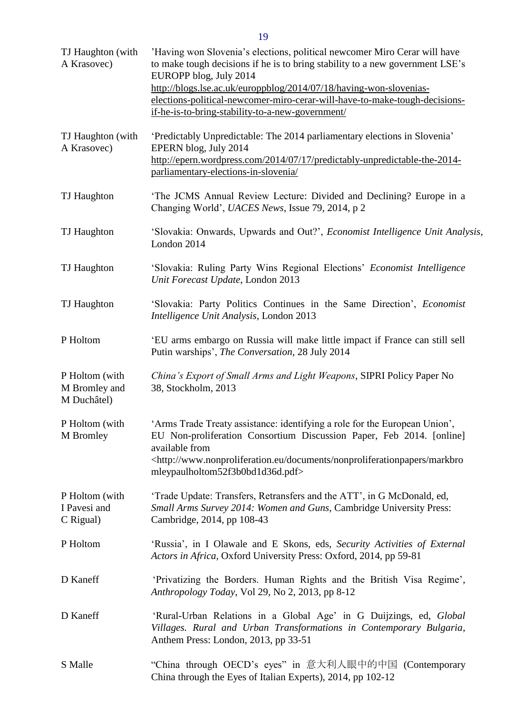| TJ Haughton (with<br>A Krasovec)               | 'Having won Slovenia's elections, political newcomer Miro Cerar will have<br>to make tough decisions if he is to bring stability to a new government LSE's<br>EUROPP blog, July 2014<br>http://blogs.lse.ac.uk/europpblog/2014/07/18/having-won-slovenias-<br>elections-political-newcomer-miro-cerar-will-have-to-make-tough-decisions-<br>if-he-is-to-bring-stability-to-a-new-government/ |
|------------------------------------------------|----------------------------------------------------------------------------------------------------------------------------------------------------------------------------------------------------------------------------------------------------------------------------------------------------------------------------------------------------------------------------------------------|
| TJ Haughton (with<br>A Krasovec)               | 'Predictably Unpredictable: The 2014 parliamentary elections in Slovenia'<br>EPERN blog, July 2014<br>http://epern.wordpress.com/2014/07/17/predictably-unpredictable-the-2014-<br>parliamentary-elections-in-slovenia/                                                                                                                                                                      |
| TJ Haughton                                    | 'The JCMS Annual Review Lecture: Divided and Declining? Europe in a<br>Changing World', UACES News, Issue 79, 2014, p 2                                                                                                                                                                                                                                                                      |
| TJ Haughton                                    | 'Slovakia: Onwards, Upwards and Out?', Economist Intelligence Unit Analysis,<br>London 2014                                                                                                                                                                                                                                                                                                  |
| TJ Haughton                                    | 'Slovakia: Ruling Party Wins Regional Elections' Economist Intelligence<br>Unit Forecast Update, London 2013                                                                                                                                                                                                                                                                                 |
| TJ Haughton                                    | 'Slovakia: Party Politics Continues in the Same Direction', Economist<br>Intelligence Unit Analysis, London 2013                                                                                                                                                                                                                                                                             |
| P Holtom                                       | 'EU arms embargo on Russia will make little impact if France can still sell<br>Putin warships', The Conversation, 28 July 2014                                                                                                                                                                                                                                                               |
| P Holtom (with<br>M Bromley and<br>M Duchâtel) | China's Export of Small Arms and Light Weapons, SIPRI Policy Paper No<br>38, Stockholm, 2013                                                                                                                                                                                                                                                                                                 |
| P Holtom (with<br><b>M</b> Bromley             | 'Arms Trade Treaty assistance: identifying a role for the European Union',<br>EU Non-proliferation Consortium Discussion Paper, Feb 2014. [online]<br>available from<br><http: documents="" markbro<br="" nonproliferationpapers="" www.nonproliferation.eu="">mleypaulholtom52f3b0bd1d36d.pdf&gt;</http:>                                                                                   |
| P Holtom (with<br>I Pavesi and<br>C Rigual)    | 'Trade Update: Transfers, Retransfers and the ATT', in G McDonald, ed,<br>Small Arms Survey 2014: Women and Guns, Cambridge University Press:<br>Cambridge, 2014, pp 108-43                                                                                                                                                                                                                  |
| P Holtom                                       | 'Russia', in I Olawale and E Skons, eds, Security Activities of External<br>Actors in Africa, Oxford University Press: Oxford, 2014, pp 59-81                                                                                                                                                                                                                                                |
| D Kaneff                                       | 'Privatizing the Borders. Human Rights and the British Visa Regime',<br>Anthropology Today, Vol 29, No 2, 2013, pp 8-12                                                                                                                                                                                                                                                                      |
| D Kaneff                                       | 'Rural-Urban Relations in a Global Age' in G Duijzings, ed, Global<br>Villages. Rural and Urban Transformations in Contemporary Bulgaria,<br>Anthem Press: London, 2013, pp 33-51                                                                                                                                                                                                            |
| S Malle                                        | "China through OECD's eyes" in 意大利人眼中的中国 (Contemporary<br>China through the Eyes of Italian Experts), 2014, pp 102-12                                                                                                                                                                                                                                                                        |

19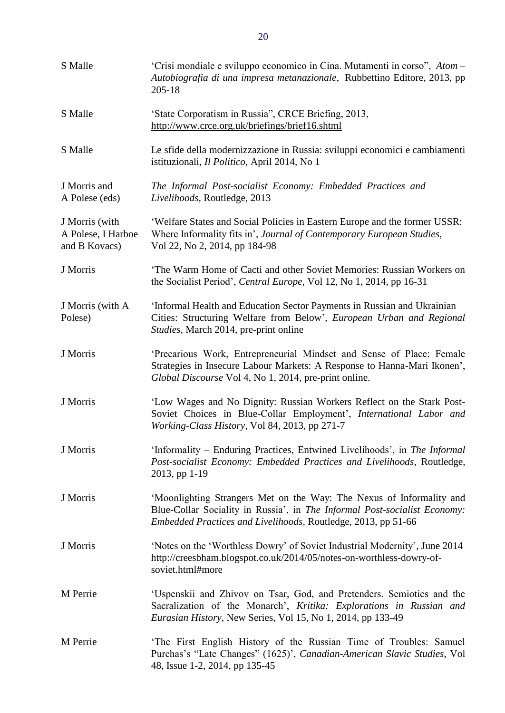| S Malle                                               | 'Crisi mondiale e sviluppo economico in Cina. Mutamenti in corso", Atom -<br>Autobiografia di una impresa metanazionale, Rubbettino Editore, 2013, pp<br>$205 - 18$                                                 |
|-------------------------------------------------------|---------------------------------------------------------------------------------------------------------------------------------------------------------------------------------------------------------------------|
| S Malle                                               | 'State Corporatism in Russia", CRCE Briefing, 2013,<br>http://www.crce.org.uk/briefings/brief16.shtml                                                                                                               |
| S Malle                                               | Le sfide della modernizzazione in Russia: sviluppi economici e cambiamenti<br>istituzionali, Il Politico, April 2014, No 1                                                                                          |
| J Morris and<br>A Polese (eds)                        | The Informal Post-socialist Economy: Embedded Practices and<br>Livelihoods, Routledge, 2013                                                                                                                         |
| J Morris (with<br>A Polese, I Harboe<br>and B Kovacs) | 'Welfare States and Social Policies in Eastern Europe and the former USSR:<br>Where Informality fits in', Journal of Contemporary European Studies,<br>Vol 22, No 2, 2014, pp 184-98                                |
| J Morris                                              | 'The Warm Home of Cacti and other Soviet Memories: Russian Workers on<br>the Socialist Period', Central Europe, Vol 12, No 1, 2014, pp 16-31                                                                        |
| J Morris (with A<br>Polese)                           | 'Informal Health and Education Sector Payments in Russian and Ukrainian<br>Cities: Structuring Welfare from Below', European Urban and Regional<br>Studies, March 2014, pre-print online                            |
| J Morris                                              | 'Precarious Work, Entrepreneurial Mindset and Sense of Place: Female<br>Strategies in Insecure Labour Markets: A Response to Hanna-Mari Ikonen',<br>Global Discourse Vol 4, No 1, 2014, pre-print online.           |
| J Morris                                              | 'Low Wages and No Dignity: Russian Workers Reflect on the Stark Post-<br>Soviet Choices in Blue-Collar Employment', International Labor and<br>Working-Class History, Vol 84, 2013, pp 271-7                        |
| J Morris                                              | 'Informality – Enduring Practices, Entwined Livelihoods', in The Informal<br>Post-socialist Economy: Embedded Practices and Livelihoods, Routledge,<br>2013, pp 1-19                                                |
| J Morris                                              | 'Moonlighting Strangers Met on the Way: The Nexus of Informality and<br>Blue-Collar Sociality in Russia', in The Informal Post-socialist Economy:<br>Embedded Practices and Livelihoods, Routledge, 2013, pp 51-66  |
| J Morris                                              | 'Notes on the 'Worthless Dowry' of Soviet Industrial Modernity', June 2014<br>http://creesbham.blogspot.co.uk/2014/05/notes-on-worthless-dowry-of-<br>soviet.html#more                                              |
| M Perrie                                              | 'Uspenskii and Zhivov on Tsar, God, and Pretenders. Semiotics and the<br>Sacralization of the Monarch', Kritika: Explorations in Russian and<br><i>Eurasian History</i> , New Series, Vol 15, No 1, 2014, pp 133-49 |
| M Perrie                                              | 'The First English History of the Russian Time of Troubles: Samuel<br>Purchas's "Late Changes" (1625)', Canadian-American Slavic Studies, Vol<br>48, Issue 1-2, 2014, pp 135-45                                     |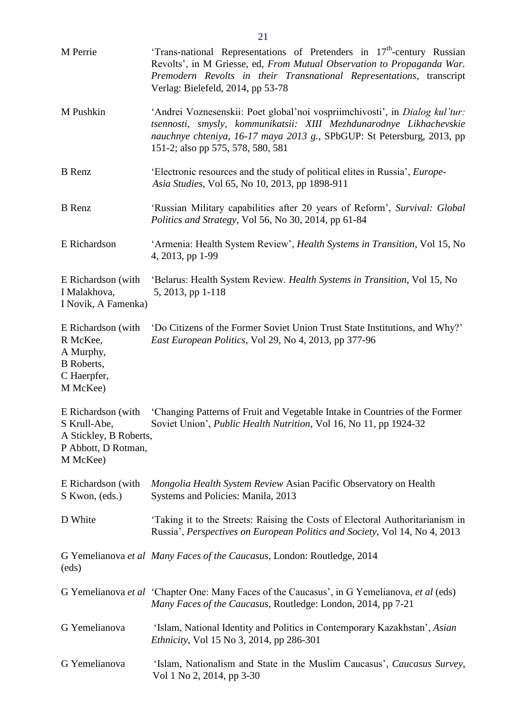| M Perrie                                                                                    | 'Trans-national Representations of Pretenders in $17th$ -century Russian<br>Revolts', in M Griesse, ed, From Mutual Observation to Propaganda War.<br>Premodern Revolts in their Transnational Representations, transcript<br>Verlag: Bielefeld, 2014, pp 53-78   |
|---------------------------------------------------------------------------------------------|-------------------------------------------------------------------------------------------------------------------------------------------------------------------------------------------------------------------------------------------------------------------|
| M Pushkin                                                                                   | 'Andrei Voznesenskii: Poet global'noi vospriimchivosti', in Dialog kul'tur:<br>tsennosti, smysly, kommunikatsii: XIII Mezhdunarodnye Likhachevskie<br>nauchnye chteniya, 16-17 maya 2013 g., SPbGUP: St Petersburg, 2013, pp<br>151-2; also pp 575, 578, 580, 581 |
| <b>B</b> Renz                                                                               | 'Electronic resources and the study of political elites in Russia', <i>Europe</i><br>Asia Studies, Vol 65, No 10, 2013, pp 1898-911                                                                                                                               |
| <b>B</b> Renz                                                                               | 'Russian Military capabilities after 20 years of Reform', Survival: Global<br>Politics and Strategy, Vol 56, No 30, 2014, pp 61-84                                                                                                                                |
| E Richardson                                                                                | 'Armenia: Health System Review', Health Systems in Transition, Vol 15, No<br>4, 2013, pp 1-99                                                                                                                                                                     |
| E Richardson (with<br>I Malakhova,<br>I Novik, A Famenka)                                   | 'Belarus: Health System Review. Health Systems in Transition, Vol 15, No<br>5, 2013, pp 1-118                                                                                                                                                                     |
| E Richardson (with<br>R McKee,<br>A Murphy,<br><b>B</b> Roberts,<br>C Haerpfer,<br>M McKee) | 'Do Citizens of the Former Soviet Union Trust State Institutions, and Why?'<br>East European Politics, Vol 29, No 4, 2013, pp 377-96                                                                                                                              |
| S Krull-Abe,<br>A Stickley, B Roberts,<br>P Abbott, D Rotman,<br>M McKee)                   | E Richardson (with 'Changing Patterns of Fruit and Vegetable Intake in Countries of the Former<br>Soviet Union', Public Health Nutrition, Vol 16, No 11, pp 1924-32                                                                                               |
| E Richardson (with<br>S Kwon, (eds.)                                                        | Mongolia Health System Review Asian Pacific Observatory on Health<br>Systems and Policies: Manila, 2013                                                                                                                                                           |
| D White                                                                                     | 'Taking it to the Streets: Raising the Costs of Electoral Authoritarianism in<br>Russia', Perspectives on European Politics and Society, Vol 14, No 4, 2013                                                                                                       |
| (eds)                                                                                       | G Yemelianova et al Many Faces of the Caucasus, London: Routledge, 2014                                                                                                                                                                                           |
|                                                                                             | G Yemelianova et al 'Chapter One: Many Faces of the Caucasus', in G Yemelianova, et al (eds)<br>Many Faces of the Caucasus, Routledge: London, 2014, pp 7-21                                                                                                      |
| G Yemelianova                                                                               | 'Islam, National Identity and Politics in Contemporary Kazakhstan', Asian<br><i>Ethnicity</i> , Vol 15 No 3, 2014, pp 286-301                                                                                                                                     |
| G Yemelianova                                                                               | 'Islam, Nationalism and State in the Muslim Caucasus', Caucasus Survey,<br>Vol 1 No 2, 2014, pp 3-30                                                                                                                                                              |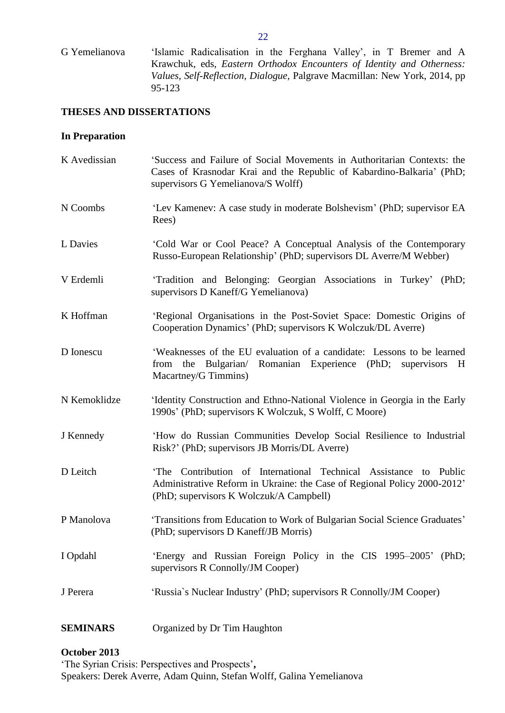G Yemelianova 'Islamic Radicalisation in the Ferghana Valley', in T Bremer and A Krawchuk, eds, *Eastern Orthodox Encounters of Identity and Otherness: Values, Self-Reflection, Dialogue,* Palgrave Macmillan: New York, 2014, pp 95-123

## <span id="page-21-0"></span>**THESES AND DISSERTATIONS**

### <span id="page-21-1"></span>**In Preparation**

| K Avedissian    | 'Success and Failure of Social Movements in Authoritarian Contexts: the<br>Cases of Krasnodar Krai and the Republic of Kabardino-Balkaria' (PhD;<br>supervisors G Yemelianova/S Wolff)  |
|-----------------|-----------------------------------------------------------------------------------------------------------------------------------------------------------------------------------------|
| N Coombs        | 'Lev Kamenev: A case study in moderate Bolshevism' (PhD; supervisor EA<br>Rees)                                                                                                         |
| L Davies        | 'Cold War or Cool Peace? A Conceptual Analysis of the Contemporary<br>Russo-European Relationship' (PhD; supervisors DL Averre/M Webber)                                                |
| V Erdemli       | 'Tradition and Belonging: Georgian Associations in Turkey' (PhD;<br>supervisors D Kaneff/G Yemelianova)                                                                                 |
| K Hoffman       | 'Regional Organisations in the Post-Soviet Space: Domestic Origins of<br>Cooperation Dynamics' (PhD; supervisors K Wolczuk/DL Averre)                                                   |
| D Ionescu       | 'Weaknesses of the EU evaluation of a candidate: Lessons to be learned<br>Bulgarian/ Romanian Experience (PhD; supervisors<br>from the<br>H<br>Macartney/G Timmins)                     |
| N Kemoklidze    | 'Identity Construction and Ethno-National Violence in Georgia in the Early<br>1990s' (PhD; supervisors K Wolczuk, S Wolff, C Moore)                                                     |
| J Kennedy       | 'How do Russian Communities Develop Social Resilience to Industrial<br>Risk?' (PhD; supervisors JB Morris/DL Averre)                                                                    |
| D Leitch        | The Contribution of International Technical Assistance to Public<br>Administrative Reform in Ukraine: the Case of Regional Policy 2000-2012'<br>(PhD; supervisors K Wolczuk/A Campbell) |
| P Manolova      | 'Transitions from Education to Work of Bulgarian Social Science Graduates'<br>(PhD; supervisors D Kaneff/JB Morris)                                                                     |
| I Opdahl        | 'Energy and Russian Foreign Policy in the CIS 1995–2005'<br>(PhD;<br>supervisors R Connolly/JM Cooper)                                                                                  |
| J Perera        | 'Russia's Nuclear Industry' (PhD; supervisors R Connolly/JM Cooper)                                                                                                                     |
| <b>SEMINARS</b> | Organized by Dr Tim Haughton                                                                                                                                                            |

# <span id="page-21-2"></span>**October 2013**

'The Syrian Crisis: Perspectives and Prospects'**,**  Speakers: Derek Averre, Adam Quinn, Stefan Wolff, Galina Yemelianova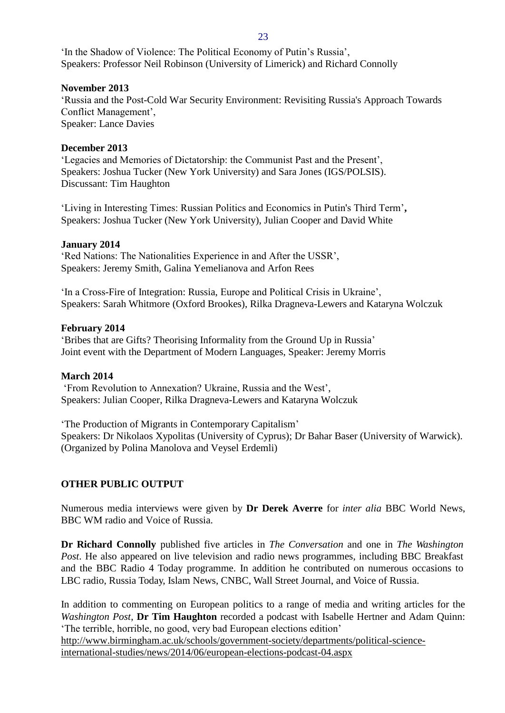#### 23

'In the Shadow of Violence: The Political Economy of Putin's Russia', Speakers: Professor Neil Robinson (University of Limerick) and Richard Connolly

# **November 2013**

'Russia and the Post-Cold War Security Environment: Revisiting Russia's Approach Towards Conflict Management', Speaker: Lance Davies

# **December 2013**

'Legacies and Memories of Dictatorship: the Communist Past and the Present', Speakers: Joshua Tucker (New York University) and Sara Jones (IGS/POLSIS). Discussant: Tim Haughton

'Living in Interesting Times: Russian Politics and Economics in Putin's Third Term'**,**  Speakers: Joshua Tucker (New York University), Julian Cooper and David White

# **January 2014**

'Red Nations: The Nationalities Experience in and After the USSR', Speakers: Jeremy Smith, Galina Yemelianova and Arfon Rees

'In a Cross-Fire of Integration: Russia, Europe and Political Crisis in Ukraine', Speakers: Sarah Whitmore (Oxford Brookes), Rilka Dragneva-Lewers and Kataryna Wolczuk

# **February 2014**

'Bribes that are Gifts? Theorising Informality from the Ground Up in Russia' Joint event with the Department of Modern Languages, Speaker: Jeremy Morris

## **March 2014**

'From Revolution to Annexation? Ukraine, Russia and the West', Speakers: Julian Cooper, Rilka Dragneva-Lewers and Kataryna Wolczuk

'The Production of Migrants in Contemporary Capitalism' Speakers: Dr Nikolaos Xypolitas (University of Cyprus); Dr Bahar Baser (University of Warwick). (Organized by Polina Manolova and Veysel Erdemli)

# <span id="page-22-0"></span>**OTHER PUBLIC OUTPUT**

Numerous media interviews were given by **Dr Derek Averre** for *inter alia* BBC World News, BBC WM radio and Voice of Russia.

**Dr Richard Connolly** published five articles in *The Conversation* and one in *The Washington Post*. He also appeared on live television and radio news programmes, including BBC Breakfast and the BBC Radio 4 Today programme. In addition he contributed on numerous occasions to LBC radio, Russia Today, Islam News, CNBC, Wall Street Journal, and Voice of Russia.

In addition to commenting on European politics to a range of media and writing articles for the *Washington Post*, **Dr Tim Haughton** recorded a podcast with Isabelle Hertner and Adam Quinn: 'The terrible, horrible, no good, very bad European elections edition'

[http://www.birmingham.ac.uk/schools/government-society/departments/political-science](https://mail.bham.ac.uk/owa/redir.aspx?C=mKlM2PS7wEOu-5D4r8nRfHQjVtXBZdEIgtSUVHX0uUp3pQR43FRiPwvU_fvgForjXEQl2KT7zSM.&URL=http%3a%2f%2fwww.birmingham.ac.uk%2fschools%2fgovernment-society%2fdepartments%2fpolitical-science-international-studies%2fnews%2f2014%2f06%2feuropean-elections-podcast-04.aspx)[international-studies/news/2014/06/european-elections-podcast-04.aspx](https://mail.bham.ac.uk/owa/redir.aspx?C=mKlM2PS7wEOu-5D4r8nRfHQjVtXBZdEIgtSUVHX0uUp3pQR43FRiPwvU_fvgForjXEQl2KT7zSM.&URL=http%3a%2f%2fwww.birmingham.ac.uk%2fschools%2fgovernment-society%2fdepartments%2fpolitical-science-international-studies%2fnews%2f2014%2f06%2feuropean-elections-podcast-04.aspx)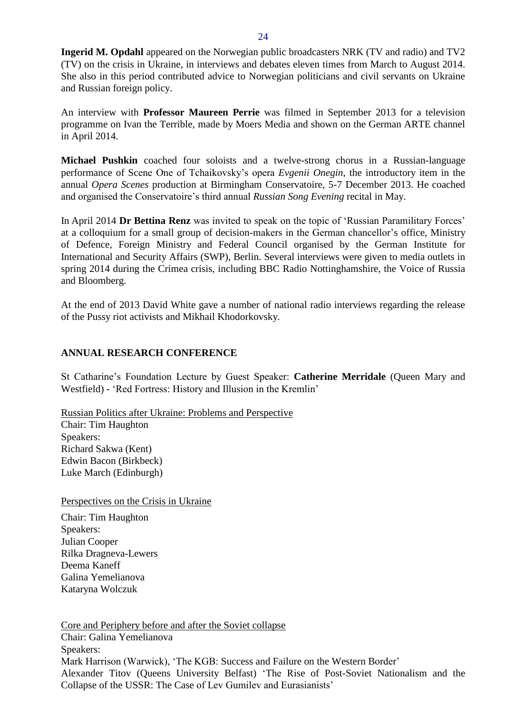**Ingerid M. Opdahl** appeared on the Norwegian public broadcasters NRK (TV and radio) and TV2 (TV) on the crisis in Ukraine, in interviews and debates eleven times from March to August 2014. She also in this period contributed advice to Norwegian politicians and civil servants on Ukraine and Russian foreign policy.

An interview with **Professor Maureen Perrie** was filmed in September 2013 for a television programme on Ivan the Terrible, made by Moers Media and shown on the German ARTE channel in April 2014.

**Michael Pushkin** coached four soloists and a twelve-strong chorus in a Russian-language performance of Scene One of Tchaikovsky's opera *Evgenii Onegin*, the introductory item in the annual *Opera Scenes* production at Birmingham Conservatoire, 5-7 December 2013. He coached and organised the Conservatoire's third annual *Russian Song Evening* recital in May.

In April 2014 **Dr Bettina Renz** was invited to speak on the topic of 'Russian Paramilitary Forces' at a colloquium for a small group of decision-makers in the German chancellor's office, Ministry of Defence, Foreign Ministry and Federal Council organised by the German Institute for International and Security Affairs (SWP), Berlin. Several interviews were given to media outlets in spring 2014 during the Crimea crisis, including BBC Radio Nottinghamshire, the Voice of Russia and Bloomberg.

At the end of 2013 David White gave a number of national radio interviews regarding the release of the Pussy riot activists and Mikhail Khodorkovsky.

# <span id="page-23-0"></span>**ANNUAL RESEARCH CONFERENCE**

St Catharine's Foundation Lecture by Guest Speaker: **Catherine Merridale** (Queen Mary and Westfield) - 'Red Fortress: History and Illusion in the Kremlin'

Russian Politics after Ukraine: Problems and Perspective Chair: Tim Haughton Speakers: Richard Sakwa (Kent) Edwin Bacon (Birkbeck) Luke March (Edinburgh)

Perspectives on the Crisis in Ukraine

Chair: Tim Haughton Speakers: Julian Cooper Rilka Dragneva-Lewers Deema Kaneff Galina Yemelianova Kataryna Wolczuk

Core and Periphery before and after the Soviet collapse Chair: Galina Yemelianova Speakers: Mark Harrison (Warwick), 'The KGB: Success and Failure on the Western Border' Alexander Titov (Queens University Belfast) 'The Rise of Post-Soviet Nationalism and the Collapse of the USSR: The Case of Lev Gumilev and Eurasianists'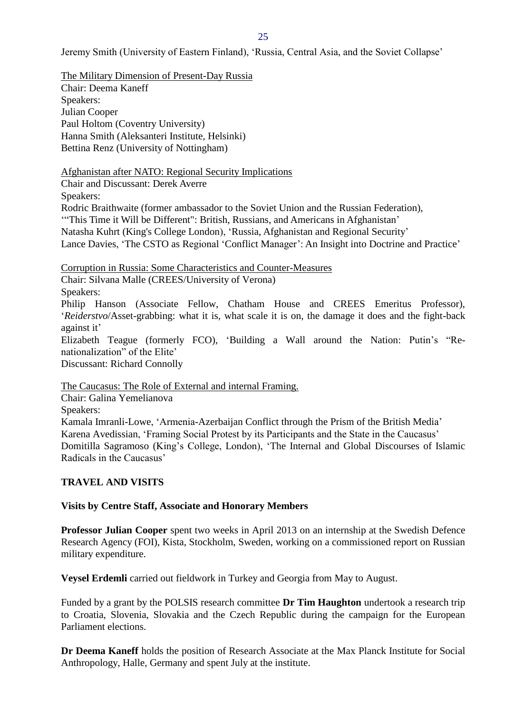Jeremy Smith (University of Eastern Finland), 'Russia, Central Asia, and the Soviet Collapse'

The Military Dimension of Present-Day Russia Chair: Deema Kaneff Speakers: Julian Cooper Paul Holtom (Coventry University) Hanna Smith (Aleksanteri Institute, Helsinki) Bettina Renz (University of Nottingham)

Afghanistan after NATO: Regional Security Implications

Chair and Discussant: Derek Averre

Speakers:

Rodric Braithwaite (former ambassador to the Soviet Union and the Russian Federation),

'"This Time it Will be Different": British, Russians, and Americans in Afghanistan'

Natasha Kuhrt (King's College London), 'Russia, Afghanistan and Regional Security'

Lance Davies, 'The CSTO as Regional 'Conflict Manager': An Insight into Doctrine and Practice'

Corruption in Russia: Some Characteristics and Counter-Measures

Chair: Silvana Malle (CREES/University of Verona)

Speakers:

Philip Hanson (Associate Fellow, Chatham House and CREES Emeritus Professor), '*Reiderstvo*/Asset-grabbing: what it is, what scale it is on, the damage it does and the fight-back against it'

Elizabeth Teague (formerly FCO), 'Building a Wall around the Nation: Putin's "Renationalization" of the Elite'

Discussant: Richard Connolly

The Caucasus: The Role of External and internal Framing.

Chair: Galina Yemelianova

Speakers:

Kamala Imranli-Lowe, 'Armenia-Azerbaijan Conflict through the Prism of the British Media' Karena Avedissian, 'Framing Social Protest by its Participants and the State in the Caucasus' Domitilla Sagramoso (King's College, London), 'The Internal and Global Discourses of Islamic Radicals in the Caucasus'

## <span id="page-24-0"></span>**TRAVEL AND VISITS**

## <span id="page-24-1"></span>**Visits by Centre Staff, Associate and Honorary Members**

**Professor Julian Cooper** spent two weeks in April 2013 on an internship at the Swedish Defence Research Agency (FOI), Kista, Stockholm, Sweden, working on a commissioned report on Russian military expenditure.

**Veysel Erdemli** carried out fieldwork in Turkey and Georgia from May to August.

Funded by a grant by the POLSIS research committee **Dr Tim Haughton** undertook a research trip to Croatia, Slovenia, Slovakia and the Czech Republic during the campaign for the European Parliament elections.

**Dr Deema Kaneff** holds the position of Research Associate at the Max Planck Institute for Social Anthropology, Halle, Germany and spent July at the institute.